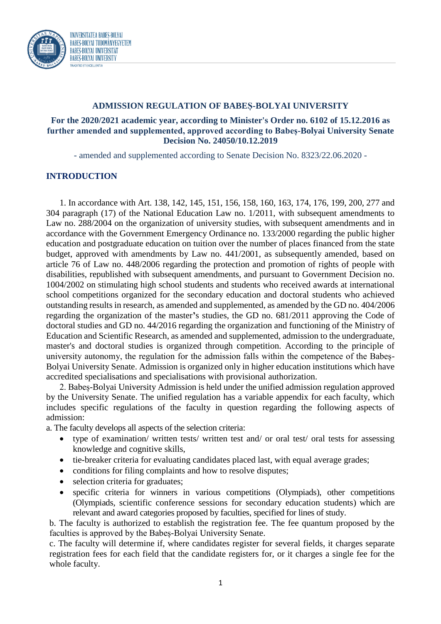

# **ADMISSION REGULATION OF BABEȘ-BOLYAI UNIVERSITY**

## **For the 2020/2021 academic year, according to Minister's Order no. 6102 of 15.12.2016 as further amended and supplemented, approved according to Babeș-Bolyai University Senate Decision No. 24050/10.12.2019**

- amended and supplemented according to Senate Decision No. 8323/22.06.2020 -

### **INTRODUCTION**

1. In accordance with Art. 138, 142, 145, 151, 156, 158, 160, 163, 174, 176, 199, 200, 277 and 304 paragraph (17) of the National Education Law no. 1/2011, with subsequent amendments to Law no. 288/2004 on the organization of university studies, with subsequent amendments and in accordance with the Government Emergency Ordinance no. 133/2000 regarding the public higher education and postgraduate education on tuition over the number of places financed from the state budget, approved with amendments by Law no. 441/2001, as subsequently amended, based on article 76 of Law no. 448/2006 regarding the protection and promotion of rights of people with disabilities, republished with subsequent amendments, and pursuant to Government Decision no. 1004/2002 on stimulating high school students and students who received awards at international school competitions organized for the secondary education and doctoral students who achieved outstanding results in research, as amended and supplemented, as amended by the GD no. 404/2006 regarding the organization of the master**'**s studies, the GD no. 681/2011 approving the Code of doctoral studies and GD no. 44/2016 regarding the organization and functioning of the Ministry of Education and Scientific Research, as amended and supplemented, admission to the undergraduate, master's and doctoral studies is organized through competition. According to the principle of university autonomy, the regulation for the admission falls within the competence of the Babeș-Bolyai University Senate. Admission is organized only in higher education institutions which have accredited specialisations and specialisations with provisional authorization.

2. Babeș-Bolyai University Admission is held under the unified admission regulation approved by the University Senate. The unified regulation has a variable appendix for each faculty, which includes specific regulations of the faculty in question regarding the following aspects of admission:

a. The faculty develops all aspects of the selection criteria:

- type of examination/ written tests/ written test and/ or oral test/ oral tests for assessing knowledge and cognitive skills,
- tie-breaker criteria for evaluating candidates placed last, with equal average grades;
- conditions for filing complaints and how to resolve disputes;
- selection criteria for graduates;
- specific criteria for winners in various competitions (Olympiads), other competitions (Olympiads, scientific conference sessions for secondary education students) which are relevant and award categories proposed by faculties, specified for lines of study.

b. The faculty is authorized to establish the registration fee. The fee quantum proposed by the faculties is approved by the Babeș-Bolyai University Senate.

c. The faculty will determine if, where candidates register for several fields, it charges separate registration fees for each field that the candidate registers for, or it charges a single fee for the whole faculty.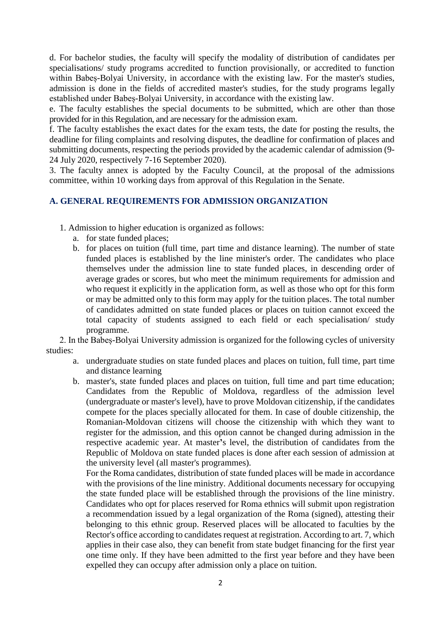d. For bachelor studies, the faculty will specify the modality of distribution of candidates per specialisations/ study programs accredited to function provisionally, or accredited to function within Babes-Bolyai University, in accordance with the existing law. For the master's studies, admission is done in the fields of accredited master's studies, for the study programs legally established under Babeș-Bolyai University, in accordance with the existing law.

e. The faculty establishes the special documents to be submitted, which are other than those provided for in this Regulation, and are necessary for the admission exam.

f. The faculty establishes the exact dates for the exam tests, the date for posting the results, the deadline for filing complaints and resolving disputes, the deadline for confirmation of places and submitting documents, respecting the periods provided by the academic calendar of admission (9- 24 July 2020, respectively 7-16 September 2020).

3. The faculty annex is adopted by the Faculty Council, at the proposal of the admissions committee, within 10 working days from approval of this Regulation in the Senate.

## **A. GENERAL REQUIREMENTS FOR ADMISSION ORGANIZATION**

- 1. Admission to higher education is organized as follows:
	- a. for state funded places;
	- b. for places on tuition (full time, part time and distance learning). The number of state funded places is established by the line minister's order. The candidates who place themselves under the admission line to state funded places, in descending order of average grades or scores, but who meet the minimum requirements for admission and who request it explicitly in the application form, as well as those who opt for this form or may be admitted only to this form may apply for the tuition places. The total number of candidates admitted on state funded places or places on tuition cannot exceed the total capacity of students assigned to each field or each specialisation/ study programme.

2. In the Babeș-Bolyai University admission is organized for the following cycles of university studies:

- a. undergraduate studies on state funded places and places on tuition, full time, part time and distance learning
- b. master's, state funded places and places on tuition, full time and part time education; Candidates from the Republic of Moldova, regardless of the admission level (undergraduate or master's level), have to prove Moldovan citizenship, if the candidates compete for the places specially allocated for them. In case of double citizenship, the Romanian-Moldovan citizens will choose the citizenship with which they want to register for the admission, and this option cannot be changed during admission in the respective academic year. At master**'**s level, the distribution of candidates from the Republic of Moldova on state funded places is done after each session of admission at the university level (all master's programmes).

For the Roma candidates, distribution of state funded places will be made in accordance with the provisions of the line ministry. Additional documents necessary for occupying the state funded place will be established through the provisions of the line ministry. Candidates who opt for places reserved for Roma ethnics will submit upon registration a recommendation issued by a legal organization of the Roma (signed), attesting their belonging to this ethnic group. Reserved places will be allocated to faculties by the Rector's office according to candidates request at registration. According to art. 7, which applies in their case also, they can benefit from state budget financing for the first year one time only. If they have been admitted to the first year before and they have been expelled they can occupy after admission only a place on tuition.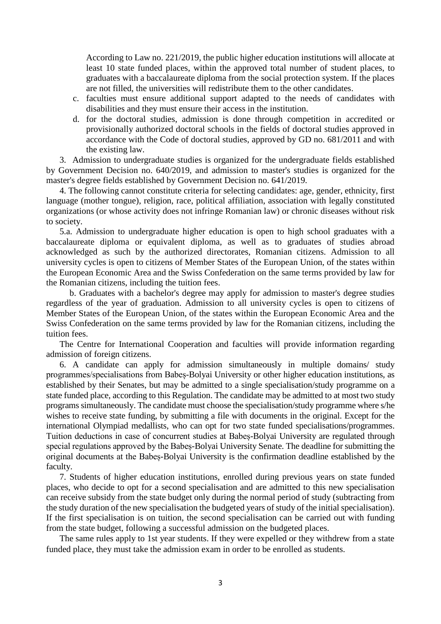According to Law no. 221/2019, the public higher education institutions will allocate at least 10 state funded places, within the approved total number of student places, to graduates with a baccalaureate diploma from the social protection system. If the places are not filled, the universities will redistribute them to the other candidates.

- c. faculties must ensure additional support adapted to the needs of candidates with disabilities and they must ensure their access in the institution.
- d. for the doctoral studies, admission is done through competition in accredited or provisionally authorized doctoral schools in the fields of doctoral studies approved in accordance with the Code of doctoral studies, approved by GD no. 681/2011 and with the existing law.

3. Admission to undergraduate studies is organized for the undergraduate fields established by Government Decision no. 640/2019, and admission to master's studies is organized for the master's degree fields established by Government Decision no. 641/2019.

4. The following cannot constitute criteria for selecting candidates: age, gender, ethnicity, first language (mother tongue), religion, race, political affiliation, association with legally constituted organizations (or whose activity does not infringe Romanian law) or chronic diseases without risk to society.

5.a. Admission to undergraduate higher education is open to high school graduates with a baccalaureate diploma or equivalent diploma, as well as to graduates of studies abroad acknowledged as such by the authorized directorates, Romanian citizens. Admission to all university cycles is open to citizens of Member States of the European Union, of the states within the European Economic Area and the Swiss Confederation on the same terms provided by law for the Romanian citizens, including the tuition fees.

b. Graduates with a bachelor's degree may apply for admission to master's degree studies regardless of the year of graduation. Admission to all university cycles is open to citizens of Member States of the European Union, of the states within the European Economic Area and the Swiss Confederation on the same terms provided by law for the Romanian citizens, including the tuition fees.

The Centre for International Cooperation and faculties will provide information regarding admission of foreign citizens.

6. A candidate can apply for admission simultaneously in multiple domains/ study programmes/specialisations from Babeș-Bolyai University or other higher education institutions, as established by their Senates, but may be admitted to a single specialisation/study programme on a state funded place, according to this Regulation. The candidate may be admitted to at most two study programs simultaneously. The candidate must choose the specialisation/study programme where s/he wishes to receive state funding, by submitting a file with documents in the original. Except for the international Olympiad medallists, who can opt for two state funded specialisations/programmes. Tuition deductions in case of concurrent studies at Babeș-Bolyai University are regulated through special regulations approved by the Babeș-Bolyai University Senate. The deadline for submitting the original documents at the Babeș-Bolyai University is the confirmation deadline established by the faculty.

7. Students of higher education institutions, enrolled during previous years on state funded places, who decide to opt for a second specialisation and are admitted to this new specialisation can receive subsidy from the state budget only during the normal period of study (subtracting from the study duration of the new specialisation the budgeted years of study of the initial specialisation). If the first specialisation is on tuition, the second specialisation can be carried out with funding from the state budget, following a successful admission on the budgeted places.

The same rules apply to 1st year students. If they were expelled or they withdrew from a state funded place, they must take the admission exam in order to be enrolled as students.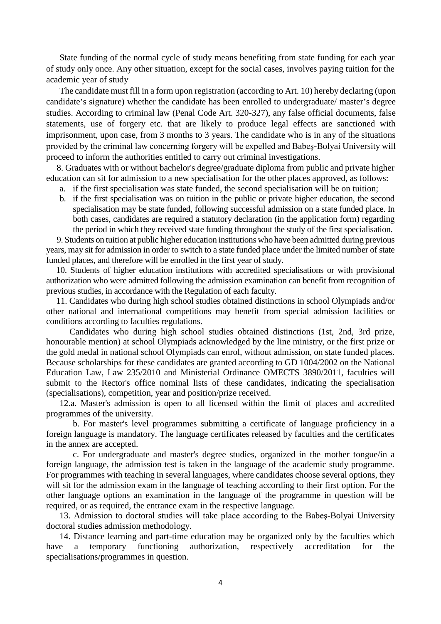State funding of the normal cycle of study means benefiting from state funding for each year of study only once. Any other situation, except for the social cases, involves paying tuition for the academic year of study

The candidate must fill in a form upon registration (according to Art. 10) hereby declaring (upon candidate's signature) whether the candidate has been enrolled to undergraduate/ master's degree studies. According to criminal law (Penal Code Art. 320-327), any false official documents, false statements, use of forgery etc. that are likely to produce legal effects are sanctioned with imprisonment, upon case, from 3 months to 3 years. The candidate who is in any of the situations provided by the criminal law concerning forgery will be expelled and Babeş-Bolyai University will proceed to inform the authorities entitled to carry out criminal investigations.

8. Graduates with or without bachelor's degree/graduate diploma from public and private higher education can sit for admission to a new specialisation for the other places approved, as follows:

- a. if the first specialisation was state funded, the second specialisation will be on tuition;
- b. if the first specialisation was on tuition in the public or private higher education, the second specialisation may be state funded, following successful admission on a state funded place. In both cases, candidates are required a statutory declaration (in the application form) regarding the period in which they received state funding throughout the study of the first specialisation.

9. Students on tuition at public higher education institutions who have been admitted during previous years, may sit for admission in order to switch to a state funded place under the limited number of state funded places, and therefore will be enrolled in the first year of study.

10. Students of higher education institutions with accredited specialisations or with provisional authorization who were admitted following the admission examination can benefit from recognition of previous studies, in accordance with the Regulation of each faculty.

11. Candidates who during high school studies obtained distinctions in school Olympiads and/or other national and international competitions may benefit from special admission facilities or conditions according to faculties regulations.

Candidates who during high school studies obtained distinctions (1st, 2nd, 3rd prize, honourable mention) at school Olympiads acknowledged by the line ministry, or the first prize or the gold medal in national school Olympiads can enrol, without admission, on state funded places. Because scholarships for these candidates are granted according to GD 1004/2002 on the National Education Law, Law 235/2010 and Ministerial Ordinance OMECTS 3890/2011, faculties will submit to the Rector's office nominal lists of these candidates, indicating the specialisation (specialisations), competition, year and position/prize received.

12.a. Master's admission is open to all licensed within the limit of places and accredited programmes of the university.

b. For master's level programmes submitting a certificate of language proficiency in a foreign language is mandatory. The language certificates released by faculties and the certificates in the annex are accepted.

c. For undergraduate and master's degree studies, organized in the mother tongue/in a foreign language, the admission test is taken in the language of the academic study programme. For programmes with teaching in several languages, where candidates choose several options, they will sit for the admission exam in the language of teaching according to their first option. For the other language options an examination in the language of the programme in question will be required, or as required, the entrance exam in the respective language.

13. Admission to doctoral studies will take place according to the Babeş-Bolyai University doctoral studies admission methodology.

14. Distance learning and part-time education may be organized only by the faculties which have a temporary functioning authorization, respectively accreditation for the specialisations/programmes in question.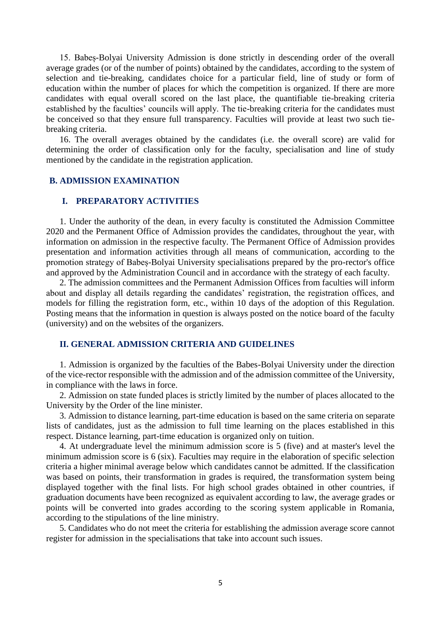15. Babeș-Bolyai University Admission is done strictly in descending order of the overall average grades (or of the number of points) obtained by the candidates, according to the system of selection and tie-breaking, candidates choice for a particular field, line of study or form of education within the number of places for which the competition is organized. If there are more candidates with equal overall scored on the last place, the quantifiable tie-breaking criteria established by the faculties' councils will apply. The tie-breaking criteria for the candidates must be conceived so that they ensure full transparency. Faculties will provide at least two such tiebreaking criteria.

16. The overall averages obtained by the candidates (i.e. the overall score) are valid for determining the order of classification only for the faculty, specialisation and line of study mentioned by the candidate in the registration application.

#### **B. ADMISSION EXAMINATION**

### **I. PREPARATORY ACTIVITIES**

1. Under the authority of the dean, in every faculty is constituted the Admission Committee 2020 and the Permanent Office of Admission provides the candidates, throughout the year, with information on admission in the respective faculty. The Permanent Office of Admission provides presentation and information activities through all means of communication, according to the promotion strategy of Babeș-Bolyai University specialisations prepared by the pro-rector's office and approved by the Administration Council and in accordance with the strategy of each faculty.

2. The admission committees and the Permanent Admission Offices from faculties will inform about and display all details regarding the candidates' registration, the registration offices, and models for filling the registration form, etc., within 10 days of the adoption of this Regulation. Posting means that the information in question is always posted on the notice board of the faculty (university) and on the websites of the organizers.

### **II. GENERAL ADMISSION CRITERIA AND GUIDELINES**

1. Admission is organized by the faculties of the Babes-Bolyai University under the direction of the vice-rector responsible with the admission and of the admission committee of the University, in compliance with the laws in force.

2. Admission on state funded places is strictly limited by the number of places allocated to the University by the Order of the line minister.

3. Admission to distance learning, part-time education is based on the same criteria on separate lists of candidates, just as the admission to full time learning on the places established in this respect. Distance learning, part-time education is organized only on tuition.

4. At undergraduate level the minimum admission score is 5 (five) and at master's level the minimum admission score is 6 (six). Faculties may require in the elaboration of specific selection criteria a higher minimal average below which candidates cannot be admitted. If the classification was based on points, their transformation in grades is required, the transformation system being displayed together with the final lists. For high school grades obtained in other countries, if graduation documents have been recognized as equivalent according to law, the average grades or points will be converted into grades according to the scoring system applicable in Romania, according to the stipulations of the line ministry.

5. Candidates who do not meet the criteria for establishing the admission average score cannot register for admission in the specialisations that take into account such issues.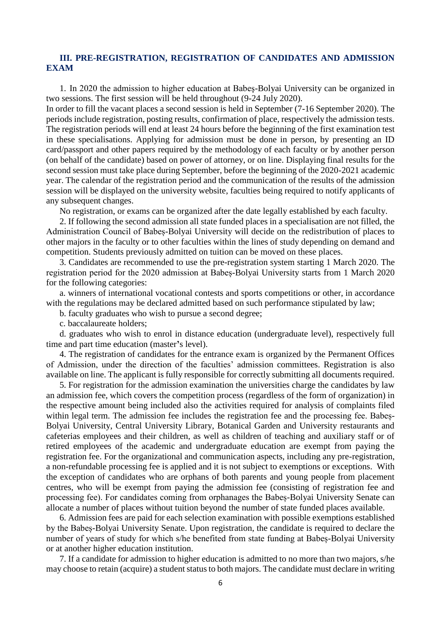### **III. PRE-REGISTRATION, REGISTRATION OF CANDIDATES AND ADMISSION EXAM**

1. In 2020 the admission to higher education at Babeş-Bolyai University can be organized in two sessions. The first session will be held throughout (9-24 July 2020).

In order to fill the vacant places a second session is held in September (7-16 September 2020). The periods include registration, posting results, confirmation of place, respectively the admission tests. The registration periods will end at least 24 hours before the beginning of the first examination test in these specialisations. Applying for admission must be done in person, by presenting an ID card/passport and other papers required by the methodology of each faculty or by another person (on behalf of the candidate) based on power of attorney, or on line. Displaying final results for the second session must take place during September, before the beginning of the 2020-2021 academic year. The calendar of the registration period and the communication of the results of the admission session will be displayed on the university website, faculties being required to notify applicants of any subsequent changes.

No registration, or exams can be organized after the date legally established by each faculty.

2. If following the second admission all state funded places in a specialisation are not filled, the Administration Council of Babeș-Bolyai University will decide on the redistribution of places to other majors in the faculty or to other faculties within the lines of study depending on demand and competition. Students previously admitted on tuition can be moved on these places.

3. Candidates are recommended to use the pre-registration system starting 1 March 2020. The registration period for the 2020 admission at Babeș-Bolyai University starts from 1 March 2020 for the following categories:

a. winners of international vocational contests and sports competitions or other, in accordance with the regulations may be declared admitted based on such performance stipulated by law;

b. faculty graduates who wish to pursue a second degree;

c. baccalaureate holders;

d. graduates who wish to enrol in distance education (undergraduate level), respectively full time and part time education (master**'**s level).

4. The registration of candidates for the entrance exam is organized by the Permanent Offices of Admission, under the direction of the faculties' admission committees. Registration is also available on line. The applicant is fully responsible for correctly submitting all documents required.

5. For registration for the admission examination the universities charge the candidates by law an admission fee, which covers the competition process (regardless of the form of organization) in the respective amount being included also the activities required for analysis of complaints filed within legal term. The admission fee includes the registration fee and the processing fee. Babeș-Bolyai University, Central University Library, Botanical Garden and University restaurants and cafeterias employees and their children, as well as children of teaching and auxiliary staff or of retired employees of the academic and undergraduate education are exempt from paying the registration fee. For the organizational and communication aspects, including any pre-registration, a non-refundable processing fee is applied and it is not subject to exemptions or exceptions. With the exception of candidates who are orphans of both parents and young people from placement centres, who will be exempt from paying the admission fee (consisting of registration fee and processing fee). For candidates coming from orphanages the Babeș-Bolyai University Senate can allocate a number of places without tuition beyond the number of state funded places available.

6. Admission fees are paid for each selection examination with possible exemptions established by the Babeș-Bolyai University Senate. Upon registration, the candidate is required to declare the number of years of study for which s/he benefited from state funding at Babeș-Bolyai University or at another higher education institution.

7. If a candidate for admission to higher education is admitted to no more than two majors, s/he may choose to retain (acquire) a student status to both majors. The candidate must declare in writing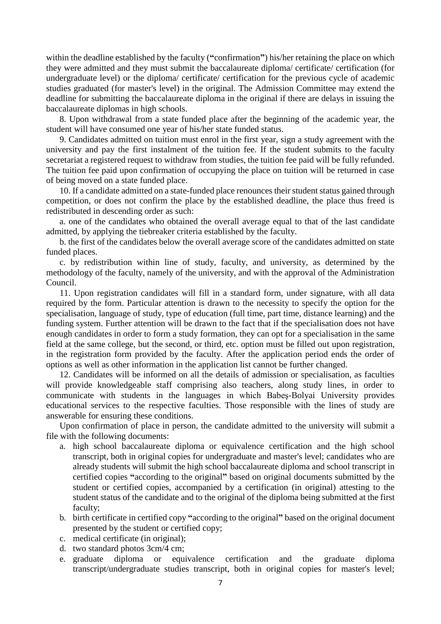within the deadline established by the faculty (**"**confirmation**"**) his/her retaining the place on which they were admitted and they must submit the baccalaureate diploma/ certificate/ certification (for undergraduate level) or the diploma/ certificate/ certification for the previous cycle of academic studies graduated (for master's level) in the original. The Admission Committee may extend the deadline for submitting the baccalaureate diploma in the original if there are delays in issuing the baccalaureate diplomas in high schools.

8. Upon withdrawal from a state funded place after the beginning of the academic year, the student will have consumed one year of his/her state funded status.

9. Candidates admitted on tuition must enrol in the first year, sign a study agreement with the university and pay the first instalment of the tuition fee. If the student submits to the faculty secretariat a registered request to withdraw from studies, the tuition fee paid will be fully refunded. The tuition fee paid upon confirmation of occupying the place on tuition will be returned in case of being moved on a state funded place.

10. If a candidate admitted on a state-funded place renounces their student status gained through competition, or does not confirm the place by the established deadline, the place thus freed is redistributed in descending order as such:

a. one of the candidates who obtained the overall average equal to that of the last candidate admitted, by applying the tiebreaker criteria established by the faculty.

b. the first of the candidates below the overall average score of the candidates admitted on state funded places.

c. by redistribution within line of study, faculty, and university, as determined by the methodology of the faculty, namely of the university, and with the approval of the Administration Council.

11. Upon registration candidates will fill in a standard form, under signature, with all data required by the form. Particular attention is drawn to the necessity to specify the option for the specialisation, language of study, type of education (full time, part time, distance learning) and the funding system. Further attention will be drawn to the fact that if the specialisation does not have enough candidates in order to form a study formation, they can opt for a specialisation in the same field at the same college, but the second, or third, etc. option must be filled out upon registration, in the registration form provided by the faculty. After the application period ends the order of options as well as other information in the application list cannot be further changed.

12. Candidates will be informed on all the details of admission or specialisation, as faculties will provide knowledgeable staff comprising also teachers, along study lines, in order to communicate with students in the languages in which Babeş-Bolyai University provides educational services to the respective faculties. Those responsible with the lines of study are answerable for ensuring these conditions.

Upon confirmation of place in person, the candidate admitted to the university will submit a file with the following documents:

- a. high school baccalaureate diploma or equivalence certification and the high school transcript, both in original copies for undergraduate and master's level; candidates who are already students will submit the high school baccalaureate diploma and school transcript in certified copies **"**according to the original**"** based on original documents submitted by the student or certified copies, accompanied by a certification (in original) attesting to the student status of the candidate and to the original of the diploma being submitted at the first faculty;
- b. birth certificate in certified copy **"**according to the original**"** based on the original document presented by the student or certified copy;
- c. medical certificate (in original);
- d. two standard photos 3cm/4 cm;
- e. graduate diploma or equivalence certification and the graduate diploma transcript/undergraduate studies transcript, both in original copies for master's level;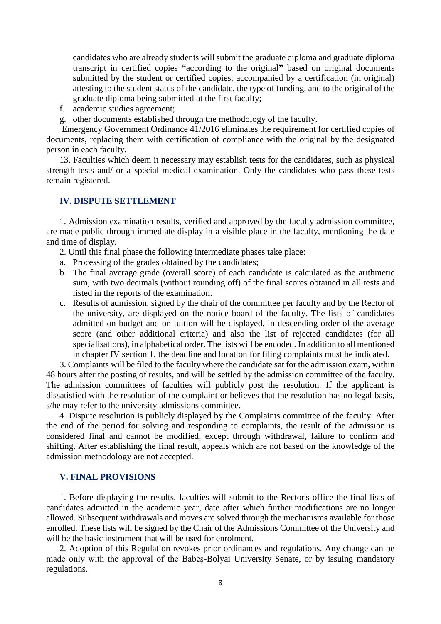candidates who are already students will submit the graduate diploma and graduate diploma transcript in certified copies **"**according to the original**"** based on original documents submitted by the student or certified copies, accompanied by a certification (in original) attesting to the student status of the candidate, the type of funding, and to the original of the graduate diploma being submitted at the first faculty;

- f. academic studies agreement;
- g. other documents established through the methodology of the faculty.

Emergency Government Ordinance 41/2016 eliminates the requirement for certified copies of documents, replacing them with certification of compliance with the original by the designated person in each faculty.

13. Faculties which deem it necessary may establish tests for the candidates, such as physical strength tests and/ or a special medical examination. Only the candidates who pass these tests remain registered.

### **IV. DISPUTE SETTLEMENT**

1. Admission examination results, verified and approved by the faculty admission committee, are made public through immediate display in a visible place in the faculty, mentioning the date and time of display.

- 2. Until this final phase the following intermediate phases take place:
- a. Processing of the grades obtained by the candidates;
- b. The final average grade (overall score) of each candidate is calculated as the arithmetic sum, with two decimals (without rounding off) of the final scores obtained in all tests and listed in the reports of the examination.
- c. Results of admission, signed by the chair of the committee per faculty and by the Rector of the university, are displayed on the notice board of the faculty. The lists of candidates admitted on budget and on tuition will be displayed, in descending order of the average score (and other additional criteria) and also the list of rejected candidates (for all specialisations), in alphabetical order. The lists will be encoded. In addition to all mentioned in chapter IV section 1, the deadline and location for filing complaints must be indicated.

3. Complaints will be filed to the faculty where the candidate sat for the admission exam, within 48 hours after the posting of results, and will be settled by the admission committee of the faculty. The admission committees of faculties will publicly post the resolution. If the applicant is dissatisfied with the resolution of the complaint or believes that the resolution has no legal basis, s/he may refer to the university admissions committee.

4. Dispute resolution is publicly displayed by the Complaints committee of the faculty. After the end of the period for solving and responding to complaints, the result of the admission is considered final and cannot be modified, except through withdrawal, failure to confirm and shifting. After establishing the final result, appeals which are not based on the knowledge of the admission methodology are not accepted.

### **V. FINAL PROVISIONS**

1. Before displaying the results, faculties will submit to the Rector's office the final lists of candidates admitted in the academic year, date after which further modifications are no longer allowed. Subsequent withdrawals and moves are solved through the mechanisms available for those enrolled. These lists will be signed by the Chair of the Admissions Committee of the University and will be the basic instrument that will be used for enrolment.

2. Adoption of this Regulation revokes prior ordinances and regulations. Any change can be made only with the approval of the Babeș-Bolyai University Senate, or by issuing mandatory regulations.